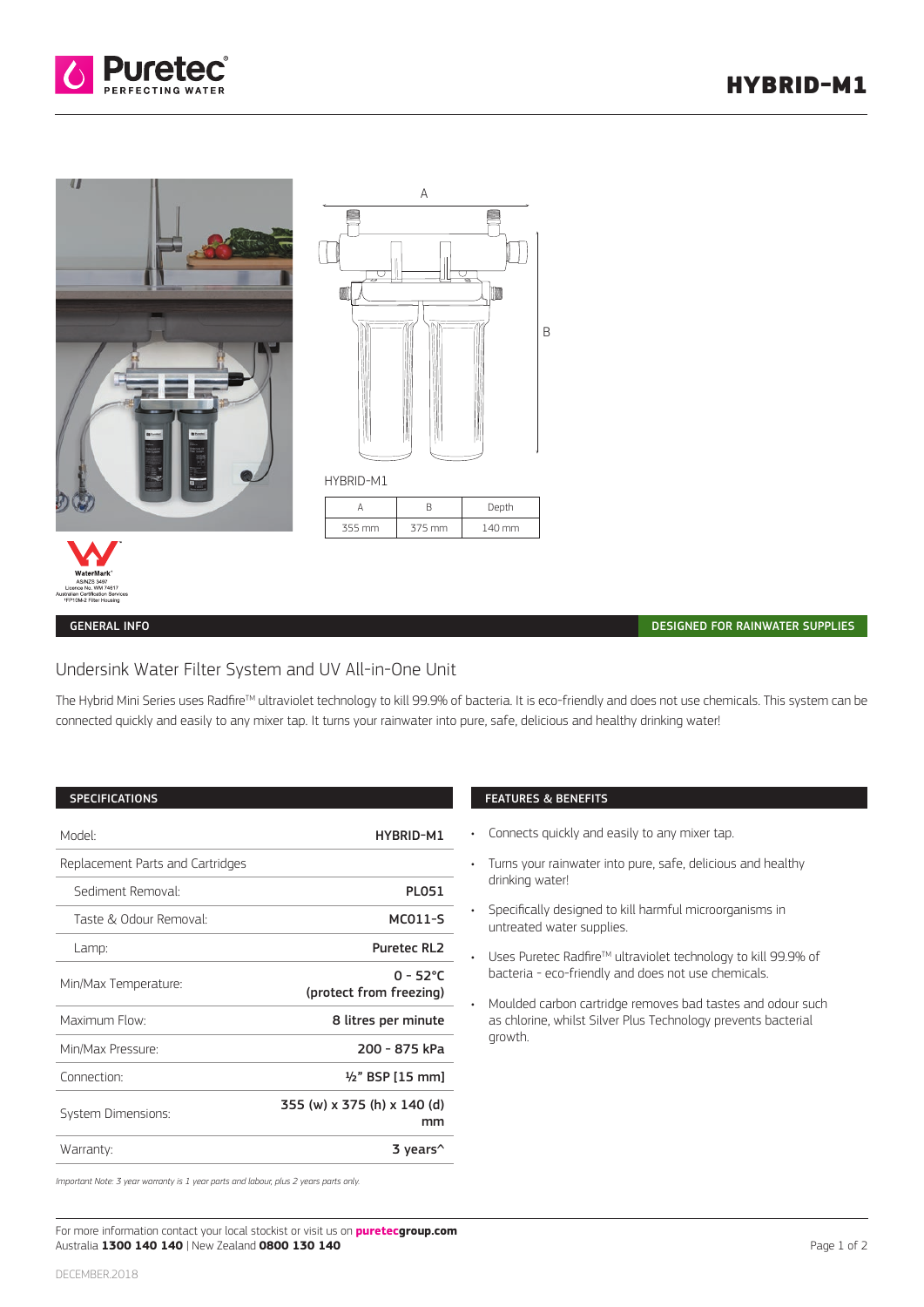



#### GENERAL INFO

#### DESIGNED FOR RAINWATER SUPPLIES

# Undersink Water Filter System and UV All-in-One Unit

The Hybrid Mini Series uses Radfire™ ultraviolet technology to kill 99.9% of bacteria. It is eco-friendly and does not use chemicals. This system can be connected quickly and easily to any mixer tap. It turns your rainwater into pure, safe, delicious and healthy drinking water!

## SPECIFICATIONS

| Model:                           | HYBRID-M1                              |
|----------------------------------|----------------------------------------|
| Replacement Parts and Cartridges |                                        |
| Sediment Removal:                | <b>PLO51</b>                           |
| Taste & Odour Removal:           | MC011-S                                |
| Lamp:                            | <b>Puretec RL2</b>                     |
| Min/Max Temperature:             | $0 - 52$ °C<br>(protect from freezing) |
| Maximum Flow:                    | 8 litres per minute                    |
| Min/Max Pressure:                | 200 - 875 kPa                          |
| Connection:                      | $\frac{1}{2}$ " BSP [15 mm]            |
| <b>System Dimensions:</b>        | 355 (w) x 375 (h) x 140 (d)<br>mm      |
| Warranty:                        | 3 years^                               |

## FEATURES & BENEFITS

- Connects quickly and easily to any mixer tap.
- Turns your rainwater into pure, safe, delicious and healthy drinking water!
- Specifically designed to kill harmful microorganisms in untreated water supplies.
- Uses Puretec Radfire<sup>™</sup> ultraviolet technology to kill 99.9% of bacteria - eco-friendly and does not use chemicals.
- Moulded carbon cartridge removes bad tastes and odour such as chlorine, whilst Silver Plus Technology prevents bacterial growth.

*Important Note: 3 year warranty is 1 year parts and labour, plus 2 years parts only.*